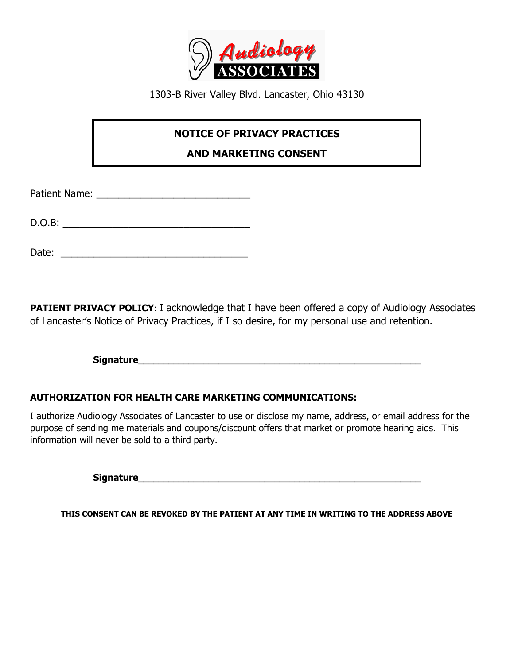

1303-B River Valley Blvd. Lancaster, Ohio 43130

## **NOTICE OF PRIVACY PRACTICES**

**AND MARKETING CONSENT**

Patient Name: \_\_\_\_\_\_\_\_\_\_\_\_\_\_\_\_\_\_\_\_\_\_\_\_\_\_\_\_

D.O.B: \_\_\_\_\_\_\_\_\_\_\_\_\_\_\_\_\_\_\_\_\_\_\_\_\_\_\_\_\_\_\_\_\_\_

Date: \_\_\_\_\_\_\_\_\_\_\_\_\_\_\_\_\_\_\_\_\_\_\_\_\_\_\_\_\_\_\_\_\_\_

**PATIENT PRIVACY POLICY:** I acknowledge that I have been offered a copy of Audiology Associates of Lancaster's Notice of Privacy Practices, if I so desire, for my personal use and retention.

**Signature** 

## **AUTHORIZATION FOR HEALTH CARE MARKETING COMMUNICATIONS:**

I authorize Audiology Associates of Lancaster to use or disclose my name, address, or email address for the purpose of sending me materials and coupons/discount offers that market or promote hearing aids. This information will never be sold to a third party.

**Signature**\_\_\_\_\_\_\_\_\_\_\_\_\_\_\_\_\_\_\_\_\_\_\_\_\_\_\_\_\_\_\_\_\_\_\_\_\_\_\_\_\_\_\_\_\_\_\_\_\_\_\_\_\_\_\_\_

**THIS CONSENT CAN BE REVOKED BY THE PATIENT AT ANY TIME IN WRITING TO THE ADDRESS ABOVE**